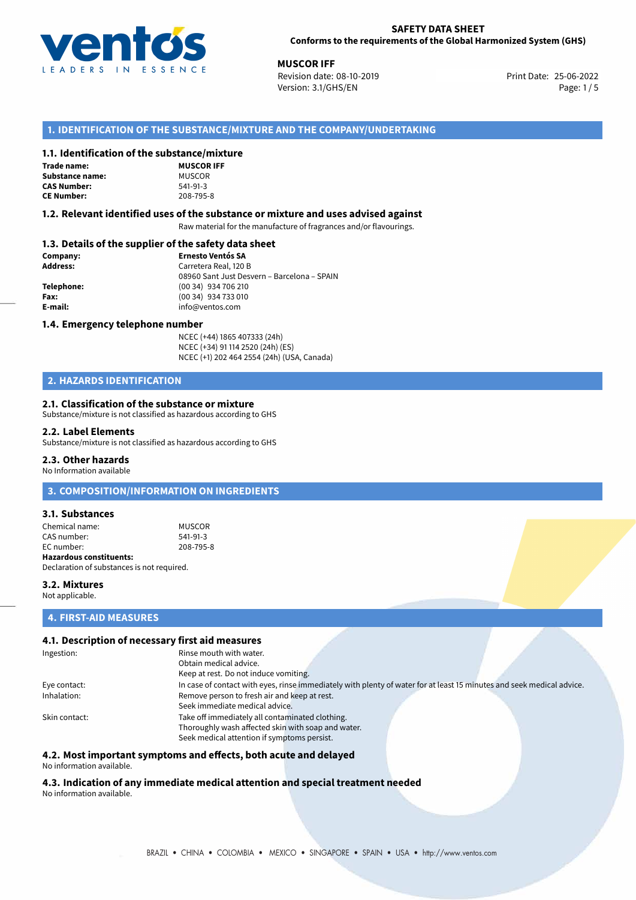

**MUSCOR IFF**<br>
25-06-2022 **Print Date:** 25-06-2022 Print Date: 25-06-2022 Version: 3.1/GHS/EN Page: 1 / 5

## **1. IDENTIFICATION OF THE SUBSTANCE/MIXTURE AND THE COMPANY/UNDERTAKING**

#### **1.1. Identification of the substance/mixture**

#### **Trade name: Substance name:**

**CAS Number: CE Number:** 208-795-8

| <b>MUSCOR IFF</b> |
|-------------------|
| MUSCOR            |
| 541-91-3          |
| 208-795-8         |
|                   |

#### **1.2. Relevant identified uses of the substance or mixture and uses advised against**

Raw material for the manufacture of fragrances and/or flavourings.

### **1.3. Details of the supplier of the safety data sheet**

| Company:        | <b>Ernesto Ventós SA</b>                    |
|-----------------|---------------------------------------------|
| <b>Address:</b> | Carretera Real, 120 B                       |
|                 | 08960 Sant Just Desvern - Barcelona - SPAIN |
| Telephone:      | (00 34) 934 706 210                         |
| Fax:            | (00 34) 934 733 010                         |
| E-mail:         | info@ventos.com                             |
|                 |                                             |

#### **1.4. Emergency telephone number**

NCEC (+44) 1865 407333 (24h) NCEC (+34) 91 114 2520 (24h) (ES) NCEC (+1) 202 464 2554 (24h) (USA, Canada)

## **2. HAZARDS IDENTIFICATION**

#### **2.1. Classification of the substance or mixture**

Substance/mixture is not classified as hazardous according to GHS

#### **2.2. Label Elements**

Substance/mixture is not classified as hazardous according to GHS

#### **2.3. Other hazards**

No Information available

## **3. COMPOSITION/INFORMATION ON INGREDIENTS**

#### **3.1. Substances**

Chemical name: MUSCOR<br>
CAS number: 541-91-3 CAS number:<br>EC number: EC number: 208-795-8 **Hazardous constituents:** Declaration of substances is not required.

**3.2. Mixtures**

Not applicable.

#### **4. FIRST-AID MEASURES**

#### **4.1. Description of necessary first aid measures**

| Ingestion:    | Rinse mouth with water.<br>Obtain medical advice.<br>Keep at rest. Do not induce vomiting.                            |
|---------------|-----------------------------------------------------------------------------------------------------------------------|
|               |                                                                                                                       |
| Eye contact:  | In case of contact with eyes, rinse immediately with plenty of water for at least 15 minutes and seek medical advice. |
| Inhalation:   | Remove person to fresh air and keep at rest.                                                                          |
|               | Seek immediate medical advice.                                                                                        |
| Skin contact: | Take off immediately all contaminated clothing.                                                                       |
|               | Thoroughly wash affected skin with soap and water.                                                                    |
|               | Seek medical attention if symptoms persist.                                                                           |

#### **4.2. Most important symptoms and effects, both acute and delayed**

No information available.

# **4.3. Indication of any immediate medical attention and special treatment needed**

No information available.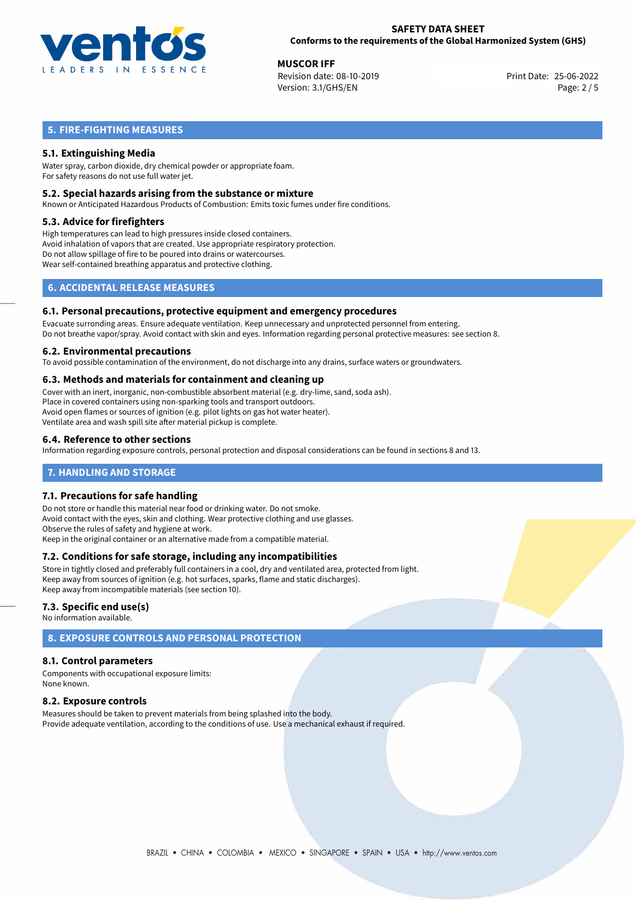

**MUSCOR IFF**<br>
Revision date: 08-10-2019<br> **25-06-2022** Print Date: 25-06-2022 Revision date: 08-10-2019 Version: 3.1/GHS/EN Page: 2 / 5

## **5. FIRE-FIGHTING MEASURES**

## **5.1. Extinguishing Media**

Water spray, carbon dioxide, dry chemical powder or appropriate foam. For safety reasons do not use full water jet.

#### **5.2. Special hazards arising from the substance or mixture**

Known or Anticipated Hazardous Products of Combustion: Emits toxic fumes under fire conditions.

#### **5.3. Advice for firefighters**

High temperatures can lead to high pressures inside closed containers. Avoid inhalation of vapors that are created. Use appropriate respiratory protection. Do not allow spillage of fire to be poured into drains or watercourses. Wear self-contained breathing apparatus and protective clothing.

## **6. ACCIDENTAL RELEASE MEASURES**

#### **6.1. Personal precautions, protective equipment and emergency procedures**

Evacuate surronding areas. Ensure adequate ventilation. Keep unnecessary and unprotected personnel from entering. Do not breathe vapor/spray. Avoid contact with skin and eyes. Information regarding personal protective measures: see section 8.

#### **6.2. Environmental precautions**

To avoid possible contamination of the environment, do not discharge into any drains, surface waters or groundwaters.

#### **6.3. Methods and materials for containment and cleaning up**

Cover with an inert, inorganic, non-combustible absorbent material (e.g. dry-lime, sand, soda ash). Place in covered containers using non-sparking tools and transport outdoors. Avoid open flames or sources of ignition (e.g. pilot lights on gas hot water heater). Ventilate area and wash spill site after material pickup is complete.

#### **6.4. Reference to other sections**

Information regarding exposure controls, personal protection and disposal considerations can be found in sections 8 and 13.

### **7. HANDLING AND STORAGE**

#### **7.1. Precautions for safe handling**

Do not store or handle this material near food or drinking water. Do not smoke. Avoid contact with the eyes, skin and clothing. Wear protective clothing and use glasses. Observe the rules of safety and hygiene at work. Keep in the original container or an alternative made from a compatible material.

#### **7.2. Conditions for safe storage, including any incompatibilities**

Store in tightly closed and preferably full containers in a cool, dry and ventilated area, protected from light. Keep away from sources of ignition (e.g. hot surfaces, sparks, flame and static discharges). Keep away from incompatible materials (see section 10).

#### **7.3. Specific end use(s)**

No information available.

## **8. EXPOSURE CONTROLS AND PERSONAL PROTECTION**

#### **8.1. Control parameters**

Components with occupational exposure limits: None known.

#### **8.2. Exposure controls**

Measures should be taken to prevent materials from being splashed into the body. Provide adequate ventilation, according to the conditions of use. Use a mechanical exhaust if required.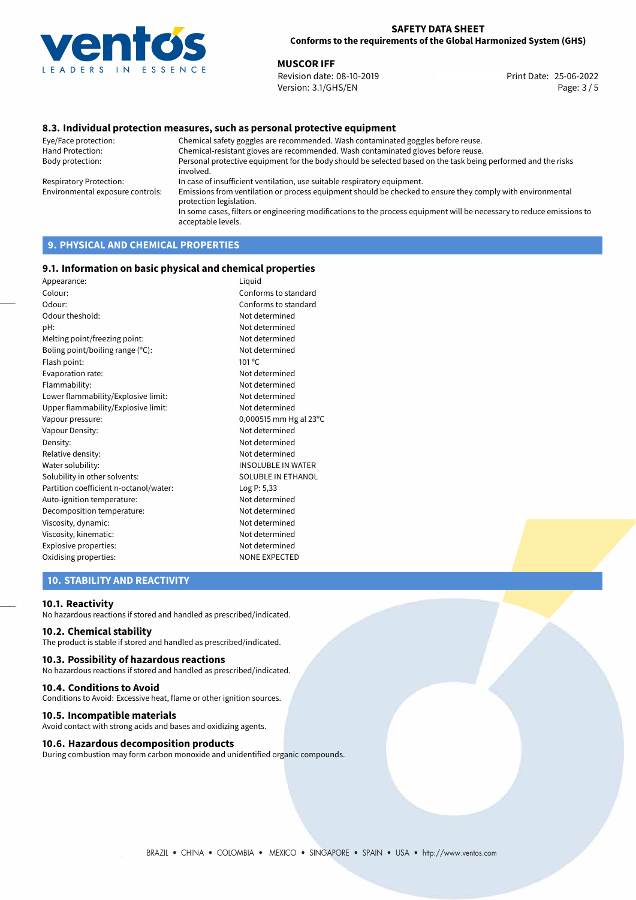

**MUSCOR IFF**<br>
Revision date: 08-10-2019<br> **Print Date: 25-06-2022** Revision date: 08-10-2019 Version: 3.1/GHS/EN Page: 3 / 5

### **8.3. Individual protection measures, such as personal protective equipment**

Eye/Face protection: Chemical safety goggles are recommended. Wash contaminated goggles before reuse. Chemical-resistant gloves are recommended. Wash contaminated gloves before reuse. Body protection: Personal protective equipment for the body should be selected based on the task being performed and the risks involved. Respiratory Protection: In case of insufficient ventilation, use suitable respiratory equipment. Environmental exposure controls: Emissions from ventilation or process equipment should be checked to ensure they comply with environmental protection legislation. In some cases, filters or engineering modifications to the process equipment will be necessary to reduce emissions to acceptable levels.

## **9. PHYSICAL AND CHEMICAL PROPERTIES**

#### **9.1. Information on basic physical and chemical properties**

| Appearance:                            | Liquid                    |
|----------------------------------------|---------------------------|
| Colour:                                | Conforms to standard      |
| Odour:                                 | Conforms to standard      |
| Odour theshold:                        | Not determined            |
| pH:                                    | Not determined            |
| Melting point/freezing point:          | Not determined            |
| Boling point/boiling range (°C):       | Not determined            |
| Flash point:                           | 101 <sup>o</sup> C        |
| Evaporation rate:                      | Not determined            |
| Flammability:                          | Not determined            |
| Lower flammability/Explosive limit:    | Not determined            |
| Upper flammability/Explosive limit:    | Not determined            |
| Vapour pressure:                       | 0,000515 mm Hg al 23°C    |
| Vapour Density:                        | Not determined            |
| Density:                               | Not determined            |
| Relative density:                      | Not determined            |
| Water solubility:                      | <b>INSOLUBLE IN WATER</b> |
| Solubility in other solvents:          | SOLUBLE IN ETHANOL        |
| Partition coefficient n-octanol/water: | Log P: 5,33               |
| Auto-ignition temperature:             | Not determined            |
| Decomposition temperature:             | Not determined            |
| Viscosity, dynamic:                    | Not determined            |
| Viscosity, kinematic:                  | Not determined            |
| Explosive properties:                  | Not determined            |
| Oxidising properties:                  | <b>NONE EXPECTED</b>      |
|                                        |                           |

### **10. STABILITY AND REACTIVITY**

#### **10.1. Reactivity**

No hazardous reactions if stored and handled as prescribed/indicated.

### **10.2. Chemical stability**

The product is stable if stored and handled as prescribed/indicated.

#### **10.3. Possibility of hazardous reactions**

No hazardous reactions if stored and handled as prescribed/indicated.

#### **10.4. Conditions to Avoid**

Conditions to Avoid: Excessive heat, flame or other ignition sources.

#### **10.5. Incompatible materials**

Avoid contact with strong acids and bases and oxidizing agents.

#### **10.6. Hazardous decomposition products**

During combustion may form carbon monoxide and unidentified organic compounds.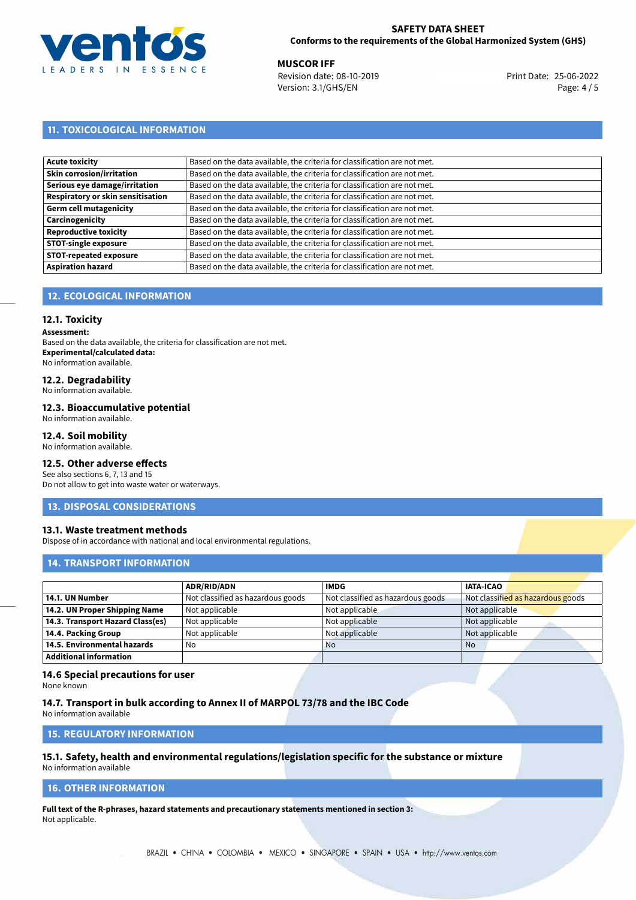

**MUSCOR IFF**<br>
Revision date: 08-10-2019 **Print Date: 25-06-2022** Version: 3.1/GHS/EN Page: 4 / 5

## **11. TOXICOLOGICAL INFORMATION**

| Acute toxicity                    | Based on the data available, the criteria for classification are not met. |
|-----------------------------------|---------------------------------------------------------------------------|
| <b>Skin corrosion/irritation</b>  | Based on the data available, the criteria for classification are not met. |
| Serious eye damage/irritation     | Based on the data available, the criteria for classification are not met. |
| Respiratory or skin sensitisation | Based on the data available, the criteria for classification are not met. |
| Germ cell mutagenicity            | Based on the data available, the criteria for classification are not met. |
| <b>Carcinogenicity</b>            | Based on the data available, the criteria for classification are not met. |
| Reproductive toxicity             | Based on the data available, the criteria for classification are not met. |
| <b>STOT-single exposure</b>       | Based on the data available, the criteria for classification are not met. |
| <b>STOT-repeated exposure</b>     | Based on the data available, the criteria for classification are not met. |
| <b>Aspiration hazard</b>          | Based on the data available, the criteria for classification are not met. |

## **12. ECOLOGICAL INFORMATION**

### **12.1. Toxicity**

**Assessment:**

Based on the data available, the criteria for classification are not met. **Experimental/calculated data:** No information available.

## **12.2. Degradability**

No information available.

#### **12.3. Bioaccumulative potential**

No information available.

### **12.4. Soil mobility**

No information available.

## **12.5. Other adverse effects**

See also sections 6, 7, 13 and 15 Do not allow to get into waste water or waterways.

#### **13. DISPOSAL CONSIDERATIONS**

#### **13.1. Waste treatment methods**

Dispose of in accordance with national and local environmental regulations.

### **14. TRANSPORT INFORMATION**

|                                  | <b>ADR/RID/ADN</b>                | <b>IMDG</b>                       | <b>IATA-ICAO</b>                  |
|----------------------------------|-----------------------------------|-----------------------------------|-----------------------------------|
| 14.1. UN Number                  | Not classified as hazardous goods | Not classified as hazardous goods | Not classified as hazardous goods |
| 14.2. UN Proper Shipping Name    | Not applicable                    | Not applicable                    | Not applicable                    |
| 14.3. Transport Hazard Class(es) | Not applicable                    | Not applicable                    | Not applicable                    |
| 14.4. Packing Group              | Not applicable                    | Not applicable                    | Not applicable                    |
| 14.5. Environmental hazards      | No                                | <b>No</b>                         | <b>No</b>                         |
| Additional information           |                                   |                                   |                                   |

#### **14.6 Special precautions for user**

None known

#### **14.7. Transport in bulk according to Annex II of MARPOL 73/78 and the IBC Code**

No information available

## **15. REGULATORY INFORMATION**

# **15.1. Safety, health and environmental regulations/legislation specific for the substance or mixture**

No information available

## **16. OTHER INFORMATION**

**Full text of the R-phrases, hazard statements and precautionary statements mentioned in section 3:** Not applicable.